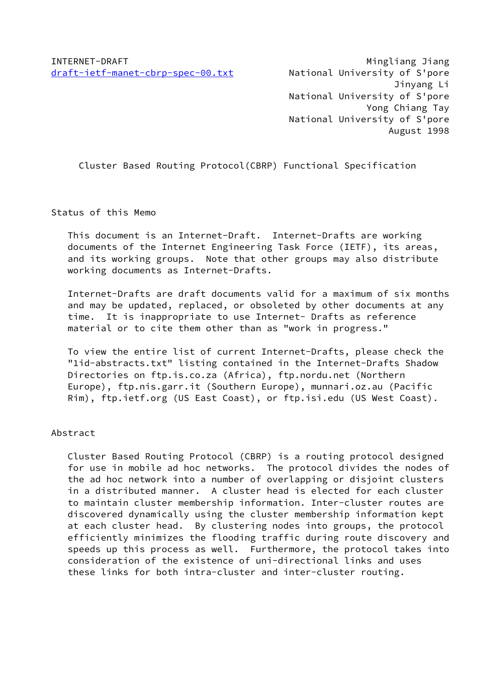Jinyang Li National University of S'pore Yong Chiang Tay National University of S'pore August 1998

Cluster Based Routing Protocol(CBRP) Functional Specification

Status of this Memo

 This document is an Internet-Draft. Internet-Drafts are working documents of the Internet Engineering Task Force (IETF), its areas, and its working groups. Note that other groups may also distribute working documents as Internet-Drafts.

 Internet-Drafts are draft documents valid for a maximum of six months and may be updated, replaced, or obsoleted by other documents at any time. It is inappropriate to use Internet- Drafts as reference material or to cite them other than as "work in progress."

 To view the entire list of current Internet-Drafts, please check the "1id-abstracts.txt" listing contained in the Internet-Drafts Shadow Directories on ftp.is.co.za (Africa), ftp.nordu.net (Northern Europe), ftp.nis.garr.it (Southern Europe), munnari.oz.au (Pacific Rim), ftp.ietf.org (US East Coast), or ftp.isi.edu (US West Coast).

## Abstract

 Cluster Based Routing Protocol (CBRP) is a routing protocol designed for use in mobile ad hoc networks. The protocol divides the nodes of the ad hoc network into a number of overlapping or disjoint clusters in a distributed manner. A cluster head is elected for each cluster to maintain cluster membership information. Inter-cluster routes are discovered dynamically using the cluster membership information kept at each cluster head. By clustering nodes into groups, the protocol efficiently minimizes the flooding traffic during route discovery and speeds up this process as well. Furthermore, the protocol takes into consideration of the existence of uni-directional links and uses these links for both intra-cluster and inter-cluster routing.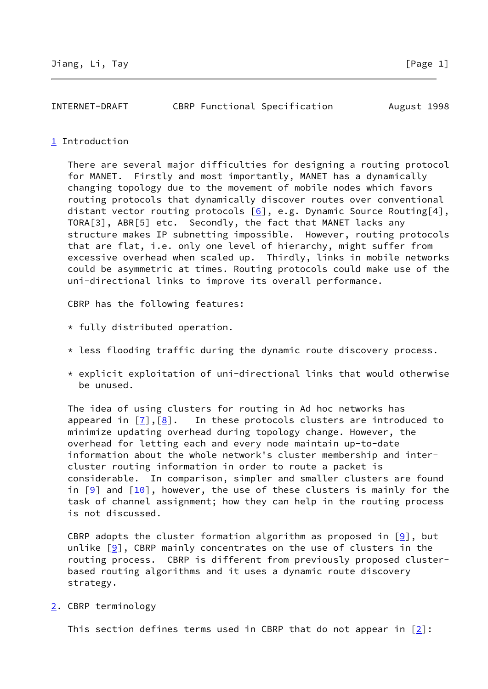| INTERNET-DRAFT |  | CBRP Functional Specification | August 1998 |  |
|----------------|--|-------------------------------|-------------|--|
|                |  |                               |             |  |

#### <span id="page-1-0"></span>[1](#page-1-0) Introduction

 There are several major difficulties for designing a routing protocol for MANET. Firstly and most importantly, MANET has a dynamically changing topology due to the movement of mobile nodes which favors routing protocols that dynamically discover routes over conventional distant vector routing protocols  $[6]$ , e.g. Dynamic Source Routing[4], TORA[3], ABR[5] etc. Secondly, the fact that MANET lacks any structure makes IP subnetting impossible. However, routing protocols that are flat, i.e. only one level of hierarchy, might suffer from excessive overhead when scaled up. Thirdly, links in mobile networks could be asymmetric at times. Routing protocols could make use of the uni-directional links to improve its overall performance.

CBRP has the following features:

- \* fully distributed operation.
- $*$  less flooding traffic during the dynamic route discovery process.
- $*$  explicit exploitation of uni-directional links that would otherwise be unused.

 The idea of using clusters for routing in Ad hoc networks has appeared in  $\lceil 7 \rceil$ ,  $\lceil 8 \rceil$ . In these protocols clusters are introduced to minimize updating overhead during topology change. However, the overhead for letting each and every node maintain up-to-date information about the whole network's cluster membership and inter cluster routing information in order to route a packet is considerable. In comparison, simpler and smaller clusters are found in  $[9]$  $[9]$  and  $[10]$  $[10]$ , however, the use of these clusters is mainly for the task of channel assignment; how they can help in the routing process is not discussed.

CBRP adopts the cluster formation algorithm as proposed in  $[9]$  $[9]$ , but unlike  $[9]$  $[9]$ , CBRP mainly concentrates on the use of clusters in the routing process. CBRP is different from previously proposed cluster based routing algorithms and it uses a dynamic route discovery strategy.

<span id="page-1-1"></span>[2](#page-1-1). CBRP terminology

This section defines terms used in CBRP that do not appear in  $[2]$  $[2]$ :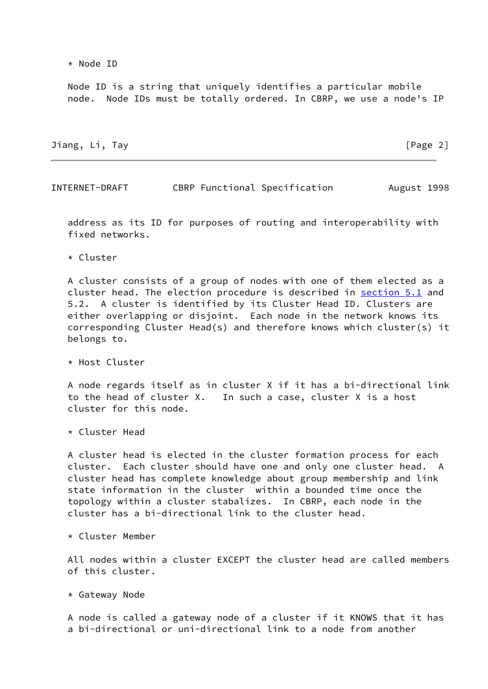\* Node ID

 Node ID is a string that uniquely identifies a particular mobile node. Node IDs must be totally ordered. In CBRP, we use a node's IP

Jiang, Li, Tay [Page 2]

INTERNET-DRAFT CBRP Functional Specification August 1998

 address as its ID for purposes of routing and interoperability with fixed networks.

\* Cluster

 A cluster consists of a group of nodes with one of them elected as a cluster head. The election procedure is described in [section 5.1](#page-5-0) and 5.2. A cluster is identified by its Cluster Head ID. Clusters are either overlapping or disjoint. Each node in the network knows its corresponding Cluster Head(s) and therefore knows which cluster(s) it belongs to.

\* Host Cluster

 A node regards itself as in cluster X if it has a bi-directional link to the head of cluster X. In such a case, cluster X is a host cluster for this node.

\* Cluster Head

 A cluster head is elected in the cluster formation process for each cluster. Each cluster should have one and only one cluster head. A cluster head has complete knowledge about group membership and link state information in the cluster within a bounded time once the topology within a cluster stabalizes. In CBRP, each node in the cluster has a bi-directional link to the cluster head.

\* Cluster Member

 All nodes within a cluster EXCEPT the cluster head are called members of this cluster.

\* Gateway Node

 A node is called a gateway node of a cluster if it KNOWS that it has a bi-directional or uni-directional link to a node from another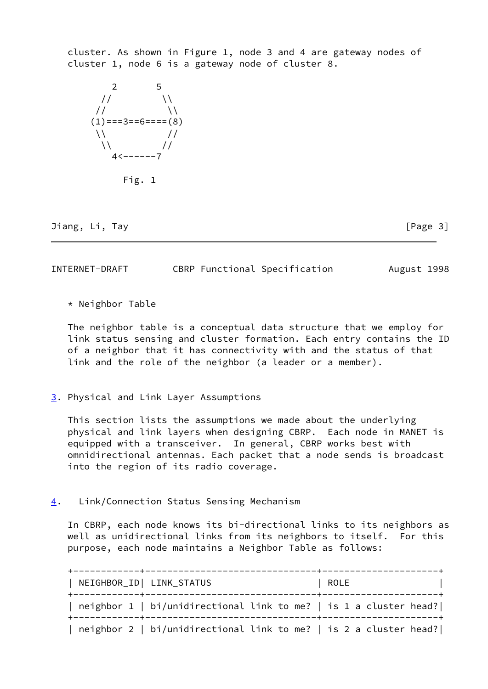cluster. As shown in Figure 1, node 3 and 4 are gateway nodes of cluster 1, node 6 is a gateway node of cluster 8.

2 5  
\n// \n// \n//  
\n(1) == 3 == 6 == 1 (8)  
\n  
\n
$$
\begin{array}{c}\n 1 \\
\wedge \\
4 & \end{array}
$$

Fig. 1

Jiang, Li, Tay [Page 3]

INTERNET-DRAFT CBRP Functional Specification August 1998

\* Neighbor Table

 The neighbor table is a conceptual data structure that we employ for link status sensing and cluster formation. Each entry contains the ID of a neighbor that it has connectivity with and the status of that link and the role of the neighbor (a leader or a member).

<span id="page-3-0"></span>[3](#page-3-0). Physical and Link Layer Assumptions

 This section lists the assumptions we made about the underlying physical and link layers when designing CBRP. Each node in MANET is equipped with a transceiver. In general, CBRP works best with omnidirectional antennas. Each packet that a node sends is broadcast into the region of its radio coverage.

<span id="page-3-1"></span>[4](#page-3-1). Link/Connection Status Sensing Mechanism

 In CBRP, each node knows its bi-directional links to its neighbors as well as unidirectional links from its neighbors to itself. For this purpose, each node maintains a Neighbor Table as follows:

| NEIGHBOR_ID  LINK_STATUS |                                                                                | ROLE |
|--------------------------|--------------------------------------------------------------------------------|------|
|                          | neighbor $1 \mid bi/unidirectional link to me? \mid is 1 a cluster head? \mid$ |      |
|                          | neighbor 2   bi/unidirectional link to me?   is 2 a cluster head?              |      |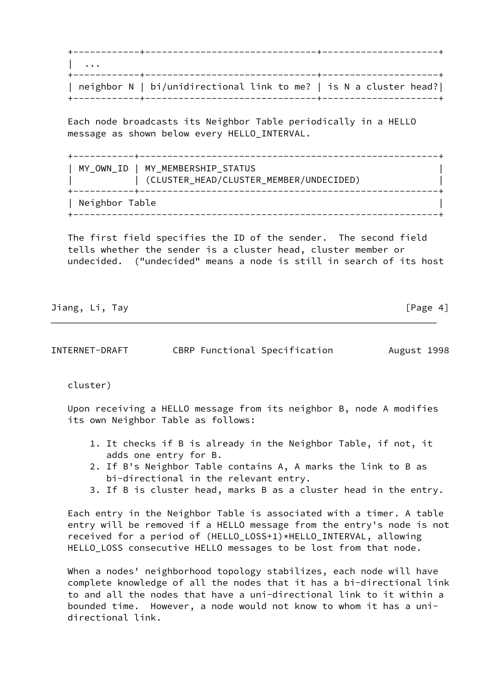+------------+-------------------------------+---------------------+ | ... +------------+-------------------------------+---------------------+ | neighbor N | bi/unidirectional link to me? | is N a cluster head?| +------------+-------------------------------+---------------------+

 Each node broadcasts its Neighbor Table periodically in a HELLO message as shown below every HELLO\_INTERVAL.

 +-----------+------------------------------------------------------+ | MY\_OWN\_ID | MY\_MEMBERSHIP\_STATUS | | | (CLUSTER\_HEAD/CLUSTER\_MEMBER/UNDECIDED) | +-----------+------------------------------------------------------+ | Neighbor Table | +------------------------------------------------------------------+

 The first field specifies the ID of the sender. The second field tells whether the sender is a cluster head, cluster member or undecided. ("undecided" means a node is still in search of its host

Jiang, Li, Tay [Page 4] [Page 4]

| INTERNET-DRAFT |  | CBRP Functional Specification | August 1998 |  |
|----------------|--|-------------------------------|-------------|--|
|                |  |                               |             |  |

cluster)

 Upon receiving a HELLO message from its neighbor B, node A modifies its own Neighbor Table as follows:

- 1. It checks if B is already in the Neighbor Table, if not, it adds one entry for B.
- 2. If B's Neighbor Table contains A, A marks the link to B as bi-directional in the relevant entry.
- 3. If B is cluster head, marks B as a cluster head in the entry.

 Each entry in the Neighbor Table is associated with a timer. A table entry will be removed if a HELLO message from the entry's node is not received for a period of (HELLO\_LOSS+1)\*HELLO\_INTERVAL, allowing HELLO\_LOSS consecutive HELLO messages to be lost from that node.

 When a nodes' neighborhood topology stabilizes, each node will have complete knowledge of all the nodes that it has a bi-directional link to and all the nodes that have a uni-directional link to it within a bounded time. However, a node would not know to whom it has a uni directional link.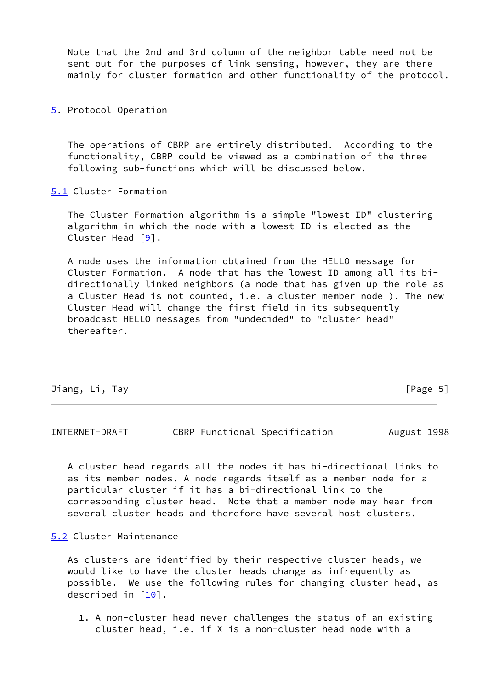Note that the 2nd and 3rd column of the neighbor table need not be sent out for the purposes of link sensing, however, they are there mainly for cluster formation and other functionality of the protocol.

## <span id="page-5-1"></span>[5](#page-5-1). Protocol Operation

 The operations of CBRP are entirely distributed. According to the functionality, CBRP could be viewed as a combination of the three following sub-functions which will be discussed below.

<span id="page-5-0"></span>[5.1](#page-5-0) Cluster Formation

 The Cluster Formation algorithm is a simple "lowest ID" clustering algorithm in which the node with a lowest ID is elected as the Cluster Head [\[9\]](#page-13-1).

 A node uses the information obtained from the HELLO message for Cluster Formation. A node that has the lowest ID among all its bi directionally linked neighbors (a node that has given up the role as a Cluster Head is not counted, i.e. a cluster member node ). The new Cluster Head will change the first field in its subsequently broadcast HELLO messages from "undecided" to "cluster head" thereafter.

| Jiang, Li, Tay |  | [Page 5] |  |
|----------------|--|----------|--|
|                |  |          |  |

INTERNET-DRAFT CBRP Functional Specification August 1998

 A cluster head regards all the nodes it has bi-directional links to as its member nodes. A node regards itself as a member node for a particular cluster if it has a bi-directional link to the corresponding cluster head. Note that a member node may hear from several cluster heads and therefore have several host clusters.

## <span id="page-5-2"></span>[5.2](#page-5-2) Cluster Maintenance

 As clusters are identified by their respective cluster heads, we would like to have the cluster heads change as infrequently as possible. We use the following rules for changing cluster head, as described in [\[10\]](#page-13-2).

 1. A non-cluster head never challenges the status of an existing cluster head, i.e. if X is a non-cluster head node with a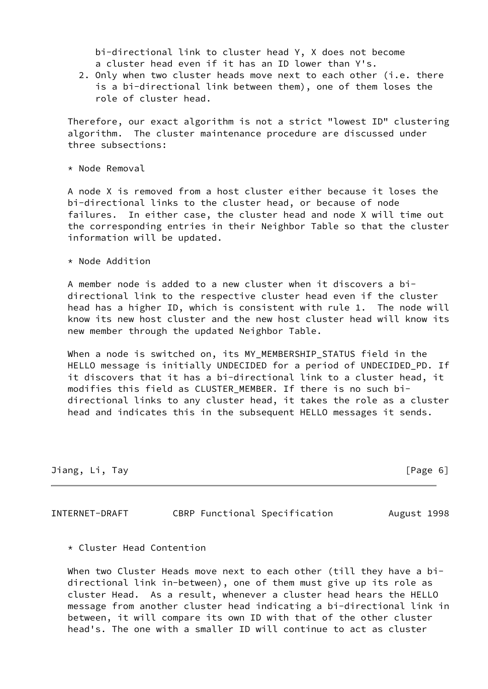bi-directional link to cluster head Y, X does not become a cluster head even if it has an ID lower than Y's.

 2. Only when two cluster heads move next to each other (i.e. there is a bi-directional link between them), one of them loses the role of cluster head.

 Therefore, our exact algorithm is not a strict "lowest ID" clustering algorithm. The cluster maintenance procedure are discussed under three subsections:

\* Node Removal

 A node X is removed from a host cluster either because it loses the bi-directional links to the cluster head, or because of node failures. In either case, the cluster head and node X will time out the corresponding entries in their Neighbor Table so that the cluster information will be updated.

\* Node Addition

 A member node is added to a new cluster when it discovers a bi directional link to the respective cluster head even if the cluster head has a higher ID, which is consistent with rule 1. The node will know its new host cluster and the new host cluster head will know its new member through the updated Neighbor Table.

 When a node is switched on, its MY\_MEMBERSHIP\_STATUS field in the HELLO message is initially UNDECIDED for a period of UNDECIDED\_PD. If it discovers that it has a bi-directional link to a cluster head, it modifies this field as CLUSTER\_MEMBER. If there is no such bi directional links to any cluster head, it takes the role as a cluster head and indicates this in the subsequent HELLO messages it sends.

Jiang, Li, Tay [Page 6] [Page 6] [Page 6] [Page 6] [Page 6] [Page 6] [Page 6] [Page 6] [

INTERNET-DRAFT CBRP Functional Specification August 1998

\* Cluster Head Contention

When two Cluster Heads move next to each other (till they have a bi directional link in-between), one of them must give up its role as cluster Head. As a result, whenever a cluster head hears the HELLO message from another cluster head indicating a bi-directional link in between, it will compare its own ID with that of the other cluster head's. The one with a smaller ID will continue to act as cluster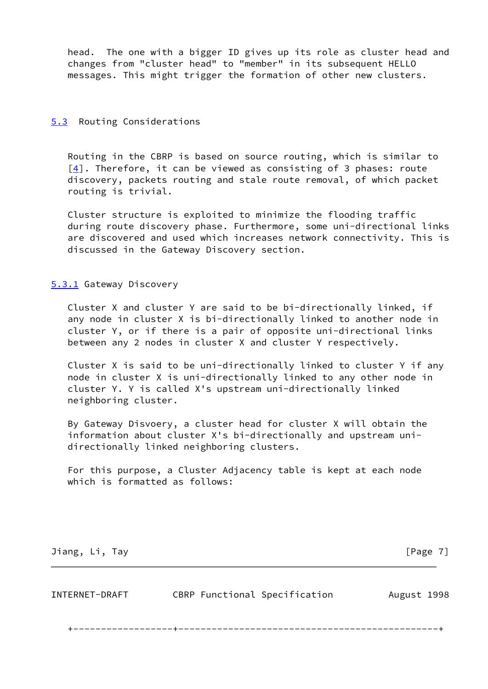head. The one with a bigger ID gives up its role as cluster head and changes from "cluster head" to "member" in its subsequent HELLO messages. This might trigger the formation of other new clusters.

# <span id="page-7-0"></span>[5.3](#page-7-0) Routing Considerations

 Routing in the CBRP is based on source routing, which is similar to  $[4]$  $[4]$ . Therefore, it can be viewed as consisting of 3 phases: route discovery, packets routing and stale route removal, of which packet routing is trivial.

 Cluster structure is exploited to minimize the flooding traffic during route discovery phase. Furthermore, some uni-directional links are discovered and used which increases network connectivity. This is discussed in the Gateway Discovery section.

## <span id="page-7-1"></span>[5.3.1](#page-7-1) Gateway Discovery

 Cluster X and cluster Y are said to be bi-directionally linked, if any node in cluster X is bi-directionally linked to another node in cluster Y, or if there is a pair of opposite uni-directional links between any 2 nodes in cluster X and cluster Y respectively.

 Cluster X is said to be uni-directionally linked to cluster Y if any node in cluster X is uni-directionally linked to any other node in cluster Y. Y is called X's upstream uni-directionally linked neighboring cluster.

 By Gateway Disvoery, a cluster head for cluster X will obtain the information about cluster X's bi-directionally and upstream uni directionally linked neighboring clusters.

 For this purpose, a Cluster Adjacency table is kept at each node which is formatted as follows:

# Jiang, Li, Tay [Page 7]

| INTERNET-DRAFT | CBRP Functional Specification |  | August 1998 |  |
|----------------|-------------------------------|--|-------------|--|
|                |                               |  |             |  |

+------------------+-----------------------------------------------+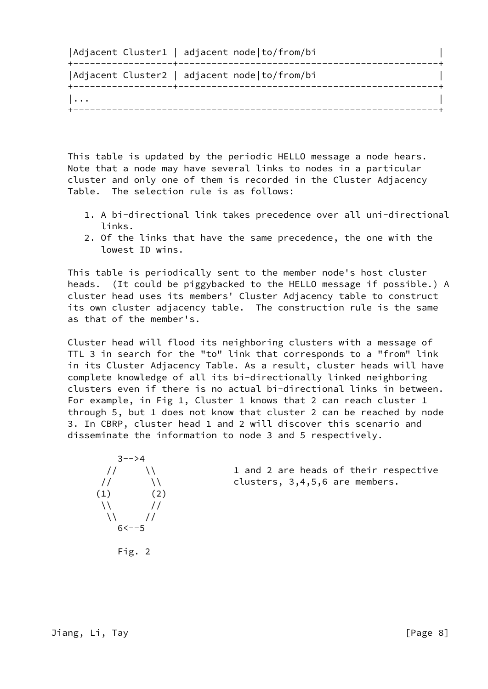|           | Adjacent Cluster1   adjacent node to/from/bi |  |
|-----------|----------------------------------------------|--|
|           | Adjacent Cluster2   adjacent node to/from/bi |  |
| $\ddotsc$ |                                              |  |

 This table is updated by the periodic HELLO message a node hears. Note that a node may have several links to nodes in a particular cluster and only one of them is recorded in the Cluster Adjacency Table. The selection rule is as follows:

- 1. A bi-directional link takes precedence over all uni-directional links.
- 2. Of the links that have the same precedence, the one with the lowest ID wins.

 This table is periodically sent to the member node's host cluster heads. (It could be piggybacked to the HELLO message if possible.) A cluster head uses its members' Cluster Adjacency table to construct its own cluster adjacency table. The construction rule is the same as that of the member's.

 Cluster head will flood its neighboring clusters with a message of TTL 3 in search for the "to" link that corresponds to a "from" link in its Cluster Adjacency Table. As a result, cluster heads will have complete knowledge of all its bi-directionally linked neighboring clusters even if there is no actual bi-directional links in between. For example, in Fig 1, Cluster 1 knows that 2 can reach cluster 1 through 5, but 1 does not know that cluster 2 can be reached by node 3. In CBRP, cluster head 1 and 2 will discover this scenario and disseminate the information to node 3 and 5 respectively.

|               | $3 - - > 4$   |
|---------------|---------------|
| $\frac{1}{2}$ | \\            |
| $\frac{1}{2}$ | ۱۱            |
| (1)           | (2)           |
| ハ             | //            |
| ۱۱            | $\frac{1}{2}$ |
|               | $6 < -5$      |
|               |               |

1 and 2 are heads of their respective  $clusters, 3,4,5,6$  are members.

Fig. 2

Jiang, Li, Tay [Page 8]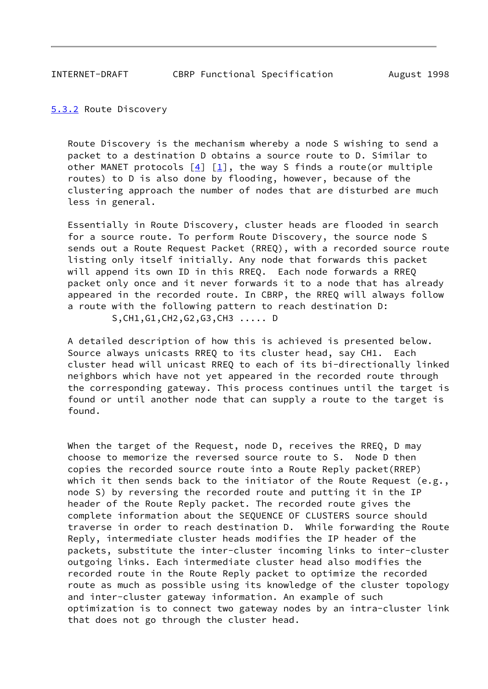<span id="page-9-0"></span>[5.3.2](#page-9-0) Route Discovery

 Route Discovery is the mechanism whereby a node S wishing to send a packet to a destination D obtains a source route to D. Similar to other MANET protocols  $\begin{bmatrix} 4 \\ 1 \end{bmatrix}$ , the way S finds a route(or multiple routes) to D is also done by flooding, however, because of the clustering approach the number of nodes that are disturbed are much less in general.

 Essentially in Route Discovery, cluster heads are flooded in search for a source route. To perform Route Discovery, the source node S sends out a Route Request Packet (RREQ), with a recorded source route listing only itself initially. Any node that forwards this packet will append its own ID in this RREQ. Each node forwards a RREQ packet only once and it never forwards it to a node that has already appeared in the recorded route. In CBRP, the RREQ will always follow a route with the following pattern to reach destination D: S,CH1,G1,CH2,G2,G3,CH3 ..... D

 A detailed description of how this is achieved is presented below. Source always unicasts RREQ to its cluster head, say CH1. Each cluster head will unicast RREQ to each of its bi-directionally linked neighbors which have not yet appeared in the recorded route through the corresponding gateway. This process continues until the target is found or until another node that can supply a route to the target is found.

 When the target of the Request, node D, receives the RREQ, D may choose to memorize the reversed source route to S. Node D then copies the recorded source route into a Route Reply packet(RREP) which it then sends back to the initiator of the Route Request (e.g., node S) by reversing the recorded route and putting it in the IP header of the Route Reply packet. The recorded route gives the complete information about the SEQUENCE OF CLUSTERS source should traverse in order to reach destination D. While forwarding the Route Reply, intermediate cluster heads modifies the IP header of the packets, substitute the inter-cluster incoming links to inter-cluster outgoing links. Each intermediate cluster head also modifies the recorded route in the Route Reply packet to optimize the recorded route as much as possible using its knowledge of the cluster topology and inter-cluster gateway information. An example of such optimization is to connect two gateway nodes by an intra-cluster link that does not go through the cluster head.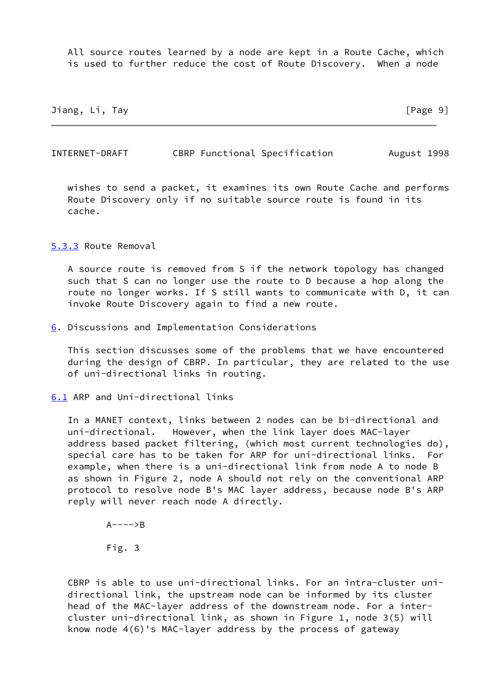All source routes learned by a node are kept in a Route Cache, which is used to further reduce the cost of Route Discovery. When a node

Jiang, Li, Tay [Page 9]

INTERNET-DRAFT CBRP Functional Specification August 1998

 wishes to send a packet, it examines its own Route Cache and performs Route Discovery only if no suitable source route is found in its cache.

<span id="page-10-0"></span>[5.3.3](#page-10-0) Route Removal

 A source route is removed from S if the network topology has changed such that S can no longer use the route to D because a hop along the route no longer works. If S still wants to communicate with D, it can invoke Route Discovery again to find a new route.

<span id="page-10-1"></span>[6](#page-10-1). Discussions and Implementation Considerations

 This section discusses some of the problems that we have encountered during the design of CBRP. In particular, they are related to the use of uni-directional links in routing.

<span id="page-10-2"></span>[6.1](#page-10-2) ARP and Uni-directional links

 In a MANET context, links between 2 nodes can be bi-directional and uni-directional. However, when the link layer does MAC-layer address based packet filtering, (which most current technologies do), special care has to be taken for ARP for uni-directional links. For example, when there is a uni-directional link from node A to node B as shown in Figure 2, node A should not rely on the conventional ARP protocol to resolve node B's MAC layer address, because node B's ARP reply will never reach node A directly.

 $A--->B$ 

Fig. 3

 CBRP is able to use uni-directional links. For an intra-cluster uni directional link, the upstream node can be informed by its cluster head of the MAC-layer address of the downstream node. For a inter cluster uni-directional link, as shown in Figure 1, node 3(5) will know node 4(6)'s MAC-layer address by the process of gateway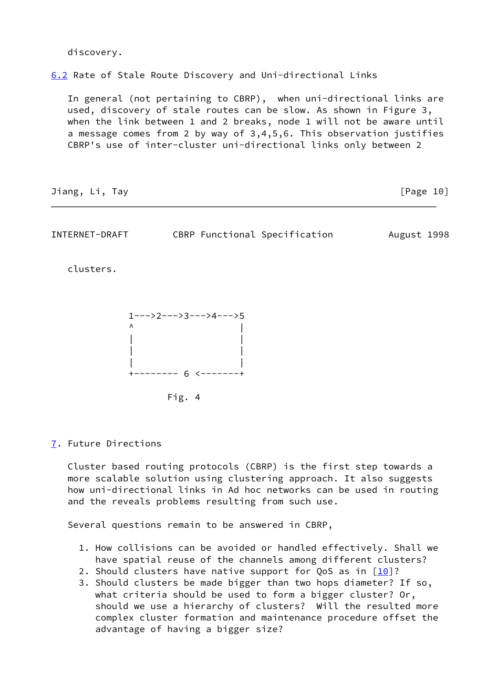discovery.

<span id="page-11-0"></span>[6.2](#page-11-0) Rate of Stale Route Discovery and Uni-directional Links

 In general (not pertaining to CBRP), when uni-directional links are used, discovery of stale routes can be slow. As shown in Figure 3, when the link between 1 and 2 breaks, node 1 will not be aware until a message comes from 2 by way of 3,4,5,6. This observation justifies CBRP's use of inter-cluster uni-directional links only between 2

Jiang, Li, Tay [Page 10]

INTERNET-DRAFT CBRP Functional Specification August 1998

clusters.

 1--->2--->3--->4--->5  $\wedge$  | | | | | | +-------- 6 <-------+ Fig. 4

<span id="page-11-1"></span>[7](#page-11-1). Future Directions

 Cluster based routing protocols (CBRP) is the first step towards a more scalable solution using clustering approach. It also suggests how uni-directional links in Ad hoc networks can be used in routing and the reveals problems resulting from such use.

Several questions remain to be answered in CBRP,

- 1. How collisions can be avoided or handled effectively. Shall we have spatial reuse of the channels among different clusters?
- 2. Should clusters have native support for QoS as in  $[10]$  $[10]$ ?
- 3. Should clusters be made bigger than two hops diameter? If so, what criteria should be used to form a bigger cluster? Or, should we use a hierarchy of clusters? Will the resulted more complex cluster formation and maintenance procedure offset the advantage of having a bigger size?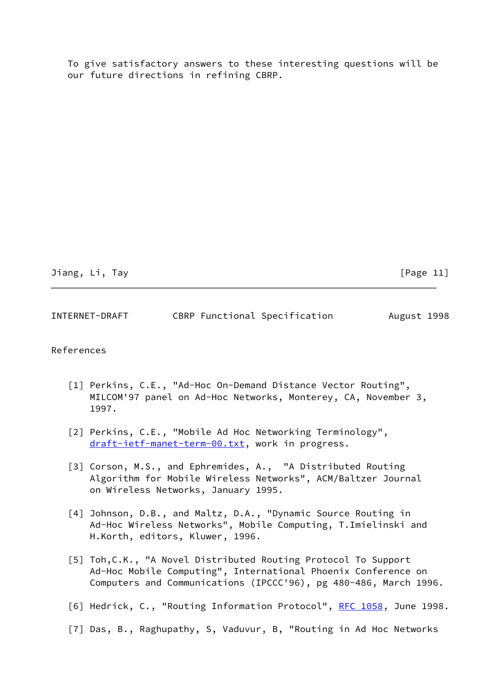To give satisfactory answers to these interesting questions will be our future directions in refining CBRP.

Jiang, Li, Tay [Page 11]

| INTERNET-DRAFT | CBRP Functional Specification | August 1998 |
|----------------|-------------------------------|-------------|
|----------------|-------------------------------|-------------|

### References

- <span id="page-12-4"></span> [1] Perkins, C.E., "Ad-Hoc On-Demand Distance Vector Routing", MILCOM'97 panel on Ad-Hoc Networks, Monterey, CA, November 3, 1997.
- <span id="page-12-2"></span> [2] Perkins, C.E., "Mobile Ad Hoc Networking Terminology", [draft-ietf-manet-term-00.txt,](https://datatracker.ietf.org/doc/pdf/draft-ietf-manet-term-00.txt) work in progress.
- [3] Corson, M.S., and Ephremides, A., "A Distributed Routing Algorithm for Mobile Wireless Networks", ACM/Baltzer Journal on Wireless Networks, January 1995.
- <span id="page-12-3"></span> [4] Johnson, D.B., and Maltz, D.A., "Dynamic Source Routing in Ad-Hoc Wireless Networks", Mobile Computing, T.Imielinski and H.Korth, editors, Kluwer, 1996.
- [5] Toh,C.K., "A Novel Distributed Routing Protocol To Support Ad-Hoc Mobile Computing", International Phoenix Conference on Computers and Communications (IPCCC'96), pg 480-486, March 1996.
- <span id="page-12-0"></span>[6] Hedrick, C., "Routing Information Protocol", [RFC 1058](https://datatracker.ietf.org/doc/pdf/rfc1058), June 1998.
- <span id="page-12-1"></span>[7] Das, B., Raghupathy, S, Vaduvur, B, "Routing in Ad Hoc Networks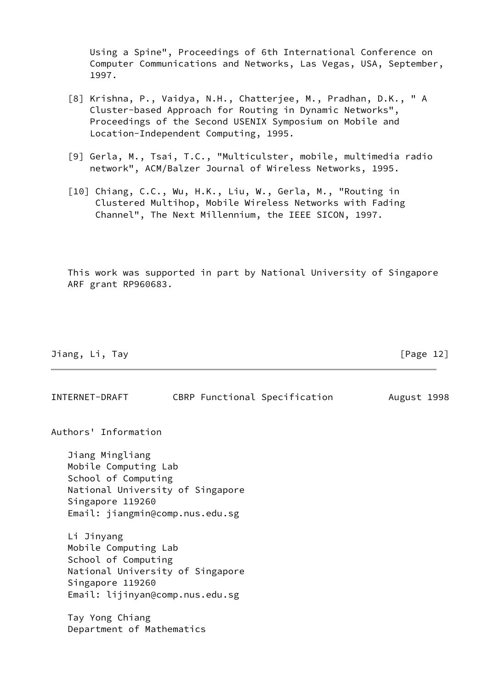Using a Spine", Proceedings of 6th International Conference on Computer Communications and Networks, Las Vegas, USA, September, 1997.

- <span id="page-13-0"></span> [8] Krishna, P., Vaidya, N.H., Chatterjee, M., Pradhan, D.K., " A Cluster-based Approach for Routing in Dynamic Networks", Proceedings of the Second USENIX Symposium on Mobile and Location-Independent Computing, 1995.
- <span id="page-13-1"></span> [9] Gerla, M., Tsai, T.C., "Multiculster, mobile, multimedia radio network", ACM/Balzer Journal of Wireless Networks, 1995.
- <span id="page-13-2"></span> [10] Chiang, C.C., Wu, H.K., Liu, W., Gerla, M., "Routing in Clustered Multihop, Mobile Wireless Networks with Fading Channel", The Next Millennium, the IEEE SICON, 1997.

 This work was supported in part by National University of Singapore ARF grant RP960683.

Jiang, Li, Tay [Page 12]

| INTERNET-DRAFT                                                                                                                                            | CBRP Functional Specification | August 1998 |
|-----------------------------------------------------------------------------------------------------------------------------------------------------------|-------------------------------|-------------|
| Authors' Information                                                                                                                                      |                               |             |
| Jiang Mingliang<br>Mobile Computing Lab<br>School of Computing<br>National University of Singapore<br>Singapore 119260<br>Email: jiangmin@comp.nus.edu.sg |                               |             |
| Li Jinyang<br>Mobile Computing Lab<br>School of Computing<br>National University of Singapore<br>Singapore 119260                                         |                               |             |

Email: lijinyan@comp.nus.edu.sg

 Tay Yong Chiang Department of Mathematics